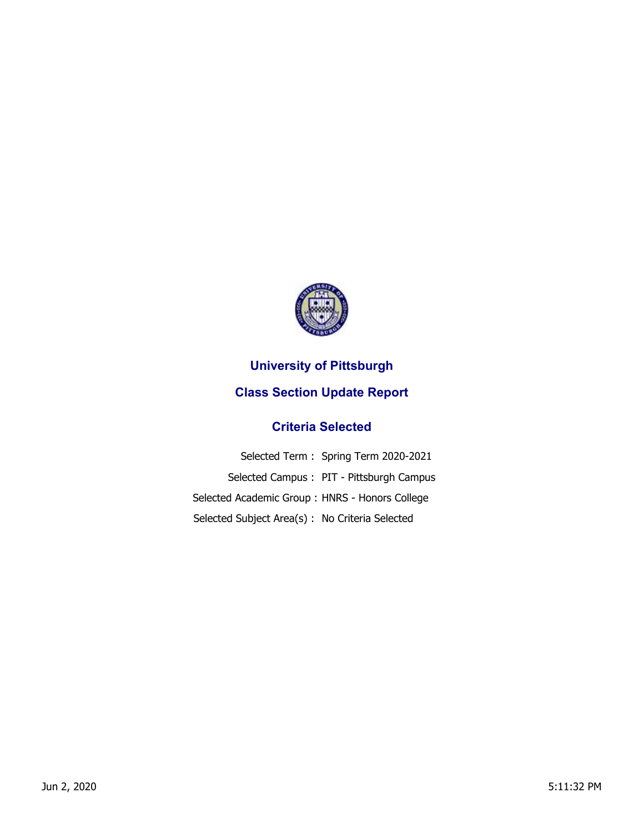

## **University of Pittsburgh Class Section Update Report**

## **Criteria Selected**

|                                                 | Selected Term: Spring Term 2020-2021     |
|-------------------------------------------------|------------------------------------------|
|                                                 | Selected Campus: PIT - Pittsburgh Campus |
| Selected Academic Group: HNRS - Honors College  |                                          |
| Selected Subject Area(s) : No Criteria Selected |                                          |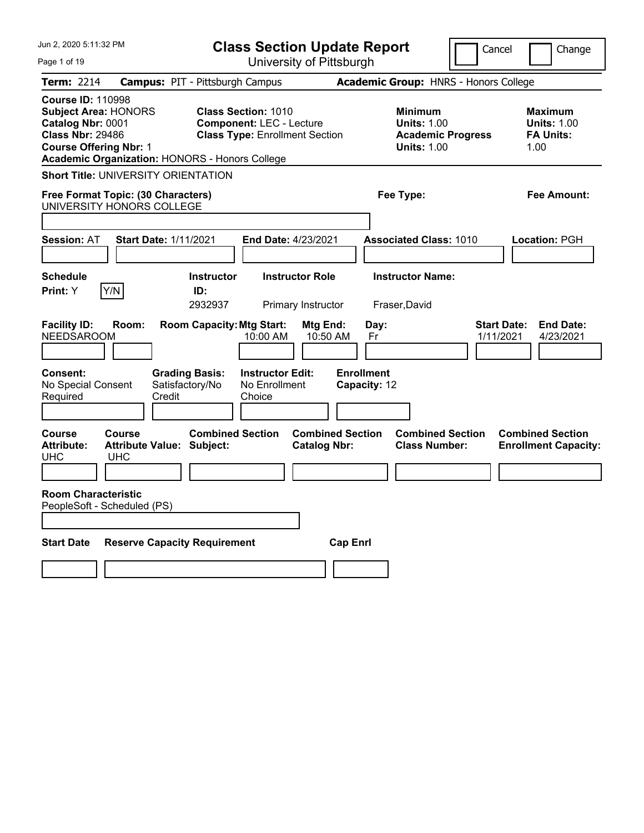| Jun 2, 2020 5:11:32 PM                                                                                                                                                                            | <b>Class Section Update Report</b>                                                                     | Cancel                                                                                 | Change                                                           |
|---------------------------------------------------------------------------------------------------------------------------------------------------------------------------------------------------|--------------------------------------------------------------------------------------------------------|----------------------------------------------------------------------------------------|------------------------------------------------------------------|
| Page 1 of 19                                                                                                                                                                                      | University of Pittsburgh                                                                               |                                                                                        |                                                                  |
| <b>Term: 2214</b>                                                                                                                                                                                 | <b>Campus: PIT - Pittsburgh Campus</b>                                                                 | <b>Academic Group: HNRS - Honors College</b>                                           |                                                                  |
| <b>Course ID: 110998</b><br><b>Subject Area: HONORS</b><br>Catalog Nbr: 0001<br><b>Class Nbr: 29486</b><br><b>Course Offering Nbr: 1</b><br><b>Academic Organization: HONORS - Honors College</b> | <b>Class Section: 1010</b><br><b>Component: LEC - Lecture</b><br><b>Class Type: Enrollment Section</b> | <b>Minimum</b><br><b>Units: 1.00</b><br><b>Academic Progress</b><br><b>Units: 1.00</b> | <b>Maximum</b><br><b>Units: 1.00</b><br><b>FA Units:</b><br>1.00 |
| <b>Short Title: UNIVERSITY ORIENTATION</b>                                                                                                                                                        |                                                                                                        |                                                                                        |                                                                  |
| Free Format Topic: (30 Characters)<br>UNIVERSITY HONORS COLLEGE                                                                                                                                   |                                                                                                        | Fee Type:                                                                              | Fee Amount:                                                      |
| <b>Session: AT</b><br><b>Start Date: 1/11/2021</b>                                                                                                                                                | End Date: 4/23/2021                                                                                    | <b>Associated Class: 1010</b>                                                          | Location: PGH                                                    |
| <b>Schedule</b><br>Y/N<br>Print: Y                                                                                                                                                                | <b>Instructor</b><br><b>Instructor Role</b><br>ID:<br>2932937<br>Primary Instructor                    | <b>Instructor Name:</b><br>Fraser, David                                               |                                                                  |
| <b>Facility ID:</b><br>Room:<br><b>NEEDSAROOM</b>                                                                                                                                                 | <b>Room Capacity: Mtg Start:</b><br>Mtg End:<br>10:00 AM<br>10:50 AM                                   | <b>Start Date:</b><br>Day:<br>1/11/2021<br>Fr                                          | <b>End Date:</b><br>4/23/2021                                    |
| <b>Consent:</b><br><b>Grading Basis:</b><br>Satisfactory/No<br>No Special Consent<br>Credit<br>Required                                                                                           | <b>Instructor Edit:</b><br>No Enrollment<br>Choice                                                     | <b>Enrollment</b><br>Capacity: 12                                                      |                                                                  |
| <b>Course</b><br>Course<br><b>Attribute:</b><br><b>Attribute Value: Subject:</b><br><b>UHC</b><br><b>UHC</b>                                                                                      | <b>Combined Section</b><br><b>Combined Section</b><br><b>Catalog Nbr:</b>                              | <b>Combined Section</b><br><b>Class Number:</b>                                        | <b>Combined Section</b><br><b>Enrollment Capacity:</b>           |
| <b>Room Characteristic</b><br>PeopleSoft - Scheduled (PS)                                                                                                                                         |                                                                                                        |                                                                                        |                                                                  |
| <b>Reserve Capacity Requirement</b><br><b>Start Date</b>                                                                                                                                          | <b>Cap Enrl</b>                                                                                        |                                                                                        |                                                                  |
|                                                                                                                                                                                                   |                                                                                                        |                                                                                        |                                                                  |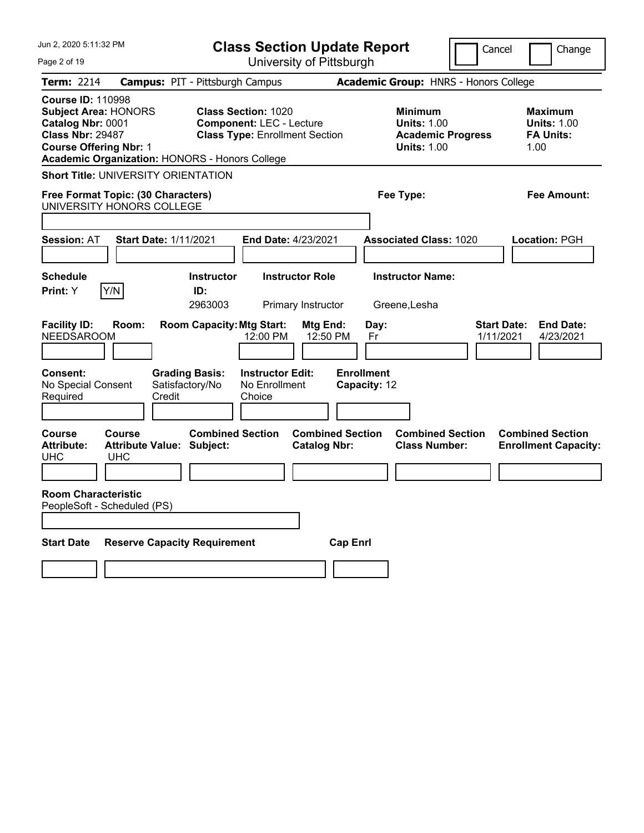| Jun 2, 2020 5:11:32 PM                                                                                                                                                                            | <b>Class Section Update Report</b>                                                                     | Cancel                                                                                 | Change                                                           |
|---------------------------------------------------------------------------------------------------------------------------------------------------------------------------------------------------|--------------------------------------------------------------------------------------------------------|----------------------------------------------------------------------------------------|------------------------------------------------------------------|
| Page 2 of 19                                                                                                                                                                                      | University of Pittsburgh                                                                               |                                                                                        |                                                                  |
| Term: 2214                                                                                                                                                                                        | <b>Campus: PIT - Pittsburgh Campus</b>                                                                 | Academic Group: HNRS - Honors College                                                  |                                                                  |
| <b>Course ID: 110998</b><br><b>Subject Area: HONORS</b><br>Catalog Nbr: 0001<br><b>Class Nbr: 29487</b><br><b>Course Offering Nbr: 1</b><br><b>Academic Organization: HONORS - Honors College</b> | <b>Class Section: 1020</b><br><b>Component: LEC - Lecture</b><br><b>Class Type: Enrollment Section</b> | <b>Minimum</b><br><b>Units: 1.00</b><br><b>Academic Progress</b><br><b>Units: 1.00</b> | <b>Maximum</b><br><b>Units: 1.00</b><br><b>FA Units:</b><br>1.00 |
| <b>Short Title: UNIVERSITY ORIENTATION</b>                                                                                                                                                        |                                                                                                        |                                                                                        |                                                                  |
| Free Format Topic: (30 Characters)<br>UNIVERSITY HONORS COLLEGE                                                                                                                                   |                                                                                                        | Fee Type:                                                                              | Fee Amount:                                                      |
| <b>Start Date: 1/11/2021</b><br><b>Session: AT</b>                                                                                                                                                | <b>End Date: 4/23/2021</b>                                                                             | <b>Associated Class: 1020</b>                                                          | Location: PGH                                                    |
|                                                                                                                                                                                                   |                                                                                                        |                                                                                        |                                                                  |
| Schedule<br>Print: Y<br>Y/N                                                                                                                                                                       | <b>Instructor</b><br><b>Instructor Role</b><br>ID:<br>2963003<br>Primary Instructor                    | <b>Instructor Name:</b><br>Greene, Lesha                                               |                                                                  |
| <b>Facility ID:</b><br>Room:<br><b>NEEDSAROOM</b>                                                                                                                                                 | <b>Room Capacity: Mtg Start:</b><br>Mtg End:<br>12:00 PM<br>12:50 PM                                   | Day:<br>1/11/2021<br>Fr                                                                | <b>End Date:</b><br><b>Start Date:</b><br>4/23/2021              |
| Consent:<br><b>Grading Basis:</b><br>Satisfactory/No<br>No Special Consent<br>Credit<br>Required                                                                                                  | <b>Instructor Edit:</b><br>No Enrollment<br>Choice                                                     | <b>Enrollment</b><br>Capacity: 12                                                      |                                                                  |
| Course<br>Course<br><b>Attribute Value: Subject:</b><br><b>Attribute:</b><br><b>UHC</b><br><b>UHC</b>                                                                                             | <b>Combined Section</b><br><b>Combined Section</b><br><b>Catalog Nbr:</b>                              | <b>Combined Section</b><br><b>Class Number:</b>                                        | <b>Combined Section</b><br><b>Enrollment Capacity:</b>           |
| <b>Room Characteristic</b><br>PeopleSoft - Scheduled (PS)                                                                                                                                         |                                                                                                        |                                                                                        |                                                                  |
| <b>Reserve Capacity Requirement</b><br><b>Start Date</b>                                                                                                                                          | <b>Cap Enrl</b>                                                                                        |                                                                                        |                                                                  |
|                                                                                                                                                                                                   |                                                                                                        |                                                                                        |                                                                  |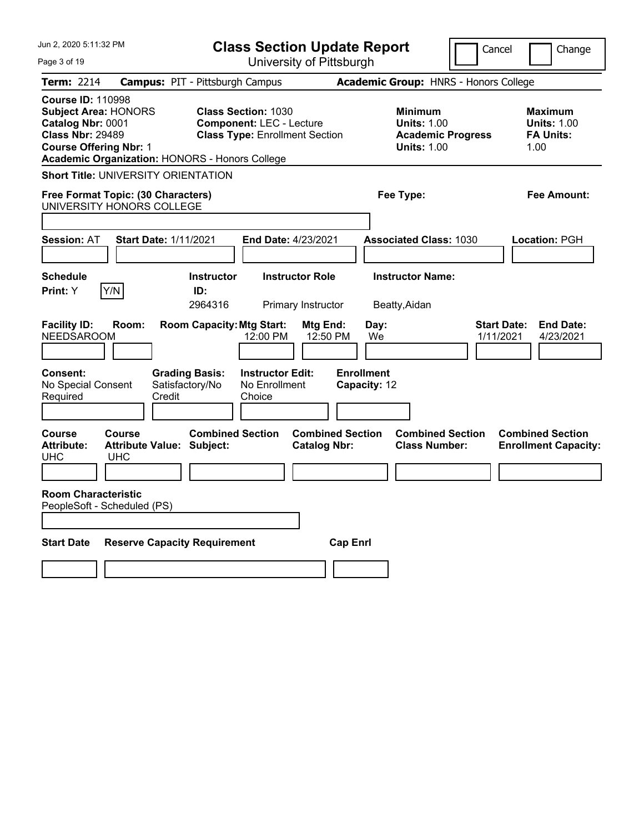| Jun 2, 2020 5:11:32 PM                                                                                                                                                                            | <b>Class Section Update Report</b>                                                                     | Cancel                                                                                 | Change                                                           |
|---------------------------------------------------------------------------------------------------------------------------------------------------------------------------------------------------|--------------------------------------------------------------------------------------------------------|----------------------------------------------------------------------------------------|------------------------------------------------------------------|
| Page 3 of 19                                                                                                                                                                                      | University of Pittsburgh                                                                               |                                                                                        |                                                                  |
| <b>Term: 2214</b>                                                                                                                                                                                 | <b>Campus: PIT - Pittsburgh Campus</b>                                                                 | <b>Academic Group: HNRS - Honors College</b>                                           |                                                                  |
| <b>Course ID: 110998</b><br><b>Subject Area: HONORS</b><br>Catalog Nbr: 0001<br><b>Class Nbr: 29489</b><br><b>Course Offering Nbr: 1</b><br><b>Academic Organization: HONORS - Honors College</b> | <b>Class Section: 1030</b><br><b>Component: LEC - Lecture</b><br><b>Class Type: Enrollment Section</b> | <b>Minimum</b><br><b>Units: 1.00</b><br><b>Academic Progress</b><br><b>Units: 1.00</b> | <b>Maximum</b><br><b>Units: 1.00</b><br><b>FA Units:</b><br>1.00 |
| <b>Short Title: UNIVERSITY ORIENTATION</b>                                                                                                                                                        |                                                                                                        |                                                                                        |                                                                  |
| Free Format Topic: (30 Characters)<br>UNIVERSITY HONORS COLLEGE                                                                                                                                   |                                                                                                        | Fee Type:                                                                              | Fee Amount:                                                      |
| <b>Session: AT</b><br><b>Start Date: 1/11/2021</b>                                                                                                                                                | End Date: 4/23/2021                                                                                    | <b>Associated Class: 1030</b>                                                          | Location: PGH                                                    |
| <b>Schedule</b><br>Y/N<br>Print: Y                                                                                                                                                                | <b>Instructor</b><br><b>Instructor Role</b><br>ID:<br>2964316<br>Primary Instructor                    | <b>Instructor Name:</b><br>Beatty, Aidan                                               |                                                                  |
| <b>Facility ID:</b><br>Room:<br><b>NEEDSAROOM</b>                                                                                                                                                 | <b>Room Capacity: Mtg Start:</b><br>Mtg End:<br>12:00 PM<br>12:50 PM                                   | <b>Start Date:</b><br>Day:<br>We<br>1/11/2021                                          | <b>End Date:</b><br>4/23/2021                                    |
| <b>Consent:</b><br><b>Grading Basis:</b><br>Satisfactory/No<br>No Special Consent<br>Credit<br>Required                                                                                           | <b>Instructor Edit:</b><br>No Enrollment<br>Choice                                                     | <b>Enrollment</b><br>Capacity: 12                                                      |                                                                  |
| <b>Course</b><br>Course<br><b>Attribute:</b><br><b>Attribute Value: Subject:</b><br><b>UHC</b><br><b>UHC</b>                                                                                      | <b>Combined Section</b><br><b>Combined Section</b><br><b>Catalog Nbr:</b>                              | <b>Combined Section</b><br><b>Class Number:</b>                                        | <b>Combined Section</b><br><b>Enrollment Capacity:</b>           |
| <b>Room Characteristic</b><br>PeopleSoft - Scheduled (PS)                                                                                                                                         |                                                                                                        |                                                                                        |                                                                  |
| <b>Reserve Capacity Requirement</b><br><b>Start Date</b>                                                                                                                                          | <b>Cap Enrl</b>                                                                                        |                                                                                        |                                                                  |
|                                                                                                                                                                                                   |                                                                                                        |                                                                                        |                                                                  |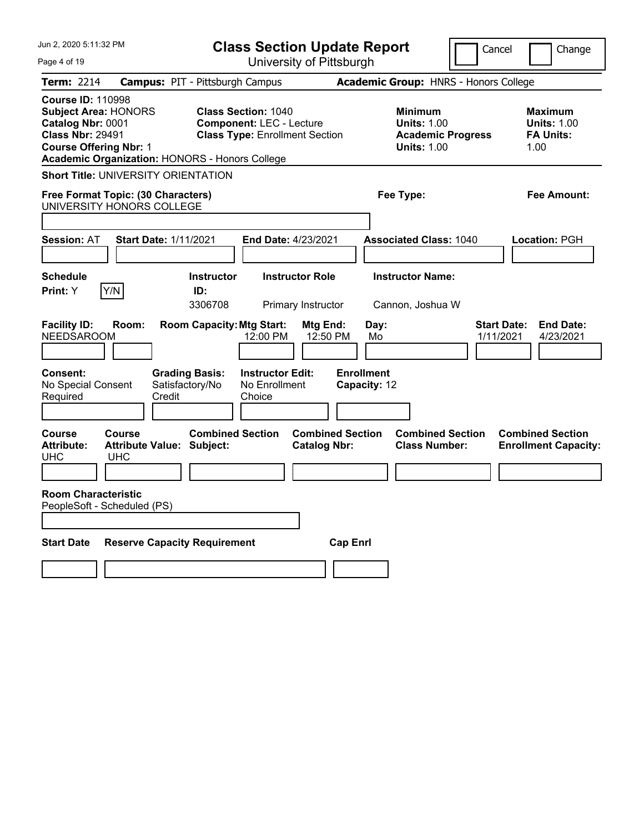| Jun 2, 2020 5:11:32 PM                                                                                                                                                                            | <b>Class Section Update Report</b>                                                                     | Cancel                                                                                 | Change                                                           |
|---------------------------------------------------------------------------------------------------------------------------------------------------------------------------------------------------|--------------------------------------------------------------------------------------------------------|----------------------------------------------------------------------------------------|------------------------------------------------------------------|
| Page 4 of 19                                                                                                                                                                                      | University of Pittsburgh                                                                               |                                                                                        |                                                                  |
| <b>Term: 2214</b>                                                                                                                                                                                 | <b>Campus: PIT - Pittsburgh Campus</b>                                                                 | Academic Group: HNRS - Honors College                                                  |                                                                  |
| <b>Course ID: 110998</b><br><b>Subject Area: HONORS</b><br>Catalog Nbr: 0001<br><b>Class Nbr: 29491</b><br><b>Course Offering Nbr: 1</b><br><b>Academic Organization: HONORS - Honors College</b> | <b>Class Section: 1040</b><br><b>Component: LEC - Lecture</b><br><b>Class Type: Enrollment Section</b> | <b>Minimum</b><br><b>Units: 1.00</b><br><b>Academic Progress</b><br><b>Units: 1.00</b> | <b>Maximum</b><br><b>Units: 1.00</b><br><b>FA Units:</b><br>1.00 |
| <b>Short Title: UNIVERSITY ORIENTATION</b>                                                                                                                                                        |                                                                                                        |                                                                                        |                                                                  |
| Free Format Topic: (30 Characters)<br>UNIVERSITY HONORS COLLEGE                                                                                                                                   |                                                                                                        | Fee Type:                                                                              | Fee Amount:                                                      |
| <b>Session: AT</b><br><b>Start Date: 1/11/2021</b>                                                                                                                                                | End Date: 4/23/2021                                                                                    | <b>Associated Class: 1040</b>                                                          | Location: PGH                                                    |
| <b>Schedule</b><br>Y/N<br>Print: Y                                                                                                                                                                | <b>Instructor</b><br><b>Instructor Role</b><br>ID:<br>3306708<br><b>Primary Instructor</b>             | <b>Instructor Name:</b><br>Cannon, Joshua W                                            |                                                                  |
| <b>Facility ID:</b><br>Room:<br><b>NEEDSAROOM</b>                                                                                                                                                 | <b>Room Capacity: Mtg Start:</b><br>Mtg End:<br>12:00 PM<br>12:50 PM                                   | Day:<br>Mo                                                                             | <b>Start Date:</b><br><b>End Date:</b><br>4/23/2021<br>1/11/2021 |
| Consent:<br>No Special Consent<br>Satisfactory/No<br>Credit<br>Required                                                                                                                           | <b>Grading Basis:</b><br><b>Instructor Edit:</b><br>No Enrollment<br>Choice                            | <b>Enrollment</b><br>Capacity: 12                                                      |                                                                  |
| <b>Course</b><br>Course<br><b>Attribute Value: Subject:</b><br><b>Attribute:</b><br><b>UHC</b><br><b>UHC</b>                                                                                      | <b>Combined Section</b><br><b>Combined Section</b><br><b>Catalog Nbr:</b>                              | <b>Combined Section</b><br><b>Class Number:</b>                                        | <b>Combined Section</b><br><b>Enrollment Capacity:</b>           |
| <b>Room Characteristic</b><br>PeopleSoft - Scheduled (PS)                                                                                                                                         |                                                                                                        |                                                                                        |                                                                  |
| <b>Reserve Capacity Requirement</b><br><b>Start Date</b>                                                                                                                                          | <b>Cap Enrl</b>                                                                                        |                                                                                        |                                                                  |
|                                                                                                                                                                                                   |                                                                                                        |                                                                                        |                                                                  |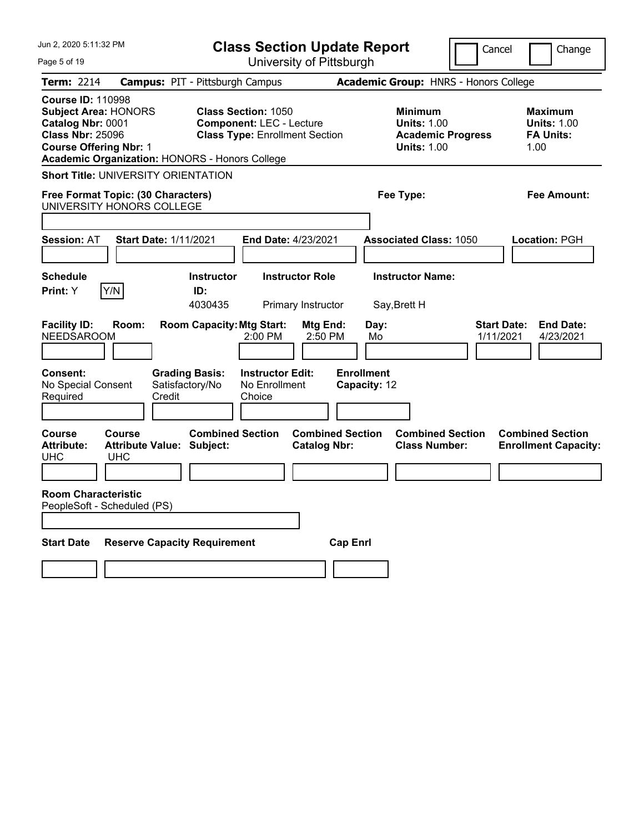| Jun 2. 2020 5:11:32 PM                                                                                                                                                                            | <b>Class Section Update Report</b>                                                                     | Cancel                                                                                 | Change                                                           |
|---------------------------------------------------------------------------------------------------------------------------------------------------------------------------------------------------|--------------------------------------------------------------------------------------------------------|----------------------------------------------------------------------------------------|------------------------------------------------------------------|
| Page 5 of 19                                                                                                                                                                                      | University of Pittsburgh                                                                               |                                                                                        |                                                                  |
| Term: 2214                                                                                                                                                                                        | <b>Campus: PIT - Pittsburgh Campus</b>                                                                 | Academic Group: HNRS - Honors College                                                  |                                                                  |
| <b>Course ID: 110998</b><br><b>Subject Area: HONORS</b><br>Catalog Nbr: 0001<br><b>Class Nbr: 25096</b><br><b>Course Offering Nbr: 1</b><br><b>Academic Organization: HONORS - Honors College</b> | <b>Class Section: 1050</b><br><b>Component: LEC - Lecture</b><br><b>Class Type: Enrollment Section</b> | <b>Minimum</b><br><b>Units: 1.00</b><br><b>Academic Progress</b><br><b>Units: 1.00</b> | <b>Maximum</b><br><b>Units: 1.00</b><br><b>FA Units:</b><br>1.00 |
| <b>Short Title: UNIVERSITY ORIENTATION</b>                                                                                                                                                        |                                                                                                        |                                                                                        |                                                                  |
| Free Format Topic: (30 Characters)<br>UNIVERSITY HONORS COLLEGE                                                                                                                                   |                                                                                                        | Fee Type:                                                                              | Fee Amount:                                                      |
| <b>Start Date: 1/11/2021</b><br><b>Session: AT</b>                                                                                                                                                | <b>End Date: 4/23/2021</b>                                                                             | <b>Associated Class: 1050</b>                                                          | Location: PGH                                                    |
|                                                                                                                                                                                                   |                                                                                                        |                                                                                        |                                                                  |
| Schedule<br>Print: Y<br>Y/N                                                                                                                                                                       | <b>Instructor</b><br><b>Instructor Role</b><br>ID:<br>4030435<br>Primary Instructor                    | <b>Instructor Name:</b><br>Say, Brett H                                                |                                                                  |
| <b>Facility ID:</b><br>Room:<br><b>NEEDSAROOM</b>                                                                                                                                                 | <b>Room Capacity: Mtg Start:</b><br><b>Mtg End:</b><br>2:00 PM<br>2:50 PM                              | Day:<br>1/11/2021<br>Mo                                                                | <b>End Date:</b><br><b>Start Date:</b><br>4/23/2021              |
| Consent:<br><b>Grading Basis:</b><br>Satisfactory/No<br>No Special Consent<br>Credit<br>Required                                                                                                  | <b>Instructor Edit:</b><br>No Enrollment<br>Choice                                                     | <b>Enrollment</b><br>Capacity: 12                                                      |                                                                  |
| Course<br>Course<br><b>Attribute Value: Subject:</b><br><b>Attribute:</b><br><b>UHC</b><br><b>UHC</b>                                                                                             | <b>Combined Section</b><br><b>Combined Section</b><br><b>Catalog Nbr:</b>                              | <b>Combined Section</b><br><b>Class Number:</b>                                        | <b>Combined Section</b><br><b>Enrollment Capacity:</b>           |
|                                                                                                                                                                                                   |                                                                                                        |                                                                                        |                                                                  |
| <b>Room Characteristic</b><br>PeopleSoft - Scheduled (PS)                                                                                                                                         |                                                                                                        |                                                                                        |                                                                  |
|                                                                                                                                                                                                   |                                                                                                        |                                                                                        |                                                                  |
| <b>Reserve Capacity Requirement</b><br><b>Start Date</b>                                                                                                                                          | <b>Cap Enrl</b>                                                                                        |                                                                                        |                                                                  |
|                                                                                                                                                                                                   |                                                                                                        |                                                                                        |                                                                  |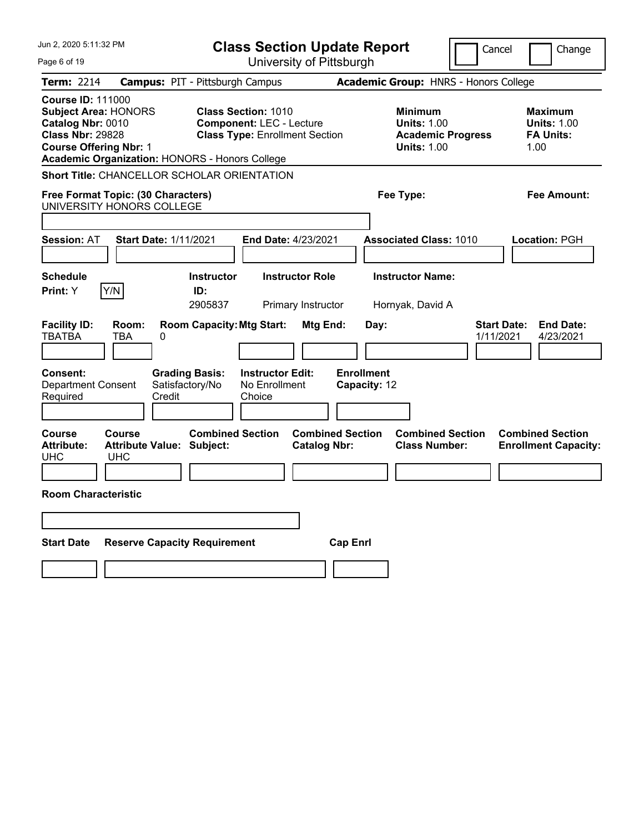| Jun 2, 2020 5:11:32 PM                                                                                                                                                                            | <b>Class Section Update Report</b>                                                                     | Cancel                                                                                 | Change                                                           |
|---------------------------------------------------------------------------------------------------------------------------------------------------------------------------------------------------|--------------------------------------------------------------------------------------------------------|----------------------------------------------------------------------------------------|------------------------------------------------------------------|
| Page 6 of 19                                                                                                                                                                                      | University of Pittsburgh                                                                               |                                                                                        |                                                                  |
| Term: 2214                                                                                                                                                                                        | <b>Campus: PIT - Pittsburgh Campus</b>                                                                 | Academic Group: HNRS - Honors College                                                  |                                                                  |
| <b>Course ID: 111000</b><br><b>Subject Area: HONORS</b><br>Catalog Nbr: 0010<br><b>Class Nbr: 29828</b><br><b>Course Offering Nbr: 1</b><br><b>Academic Organization: HONORS - Honors College</b> | <b>Class Section: 1010</b><br><b>Component: LEC - Lecture</b><br><b>Class Type: Enrollment Section</b> | <b>Minimum</b><br><b>Units: 1.00</b><br><b>Academic Progress</b><br><b>Units: 1.00</b> | <b>Maximum</b><br><b>Units: 1.00</b><br><b>FA Units:</b><br>1.00 |
| Short Title: CHANCELLOR SCHOLAR ORIENTATION                                                                                                                                                       |                                                                                                        |                                                                                        |                                                                  |
| Free Format Topic: (30 Characters)<br>UNIVERSITY HONORS COLLEGE                                                                                                                                   |                                                                                                        | Fee Type:                                                                              | Fee Amount:                                                      |
| <b>Start Date: 1/11/2021</b><br><b>Session: AT</b>                                                                                                                                                | End Date: 4/23/2021                                                                                    | <b>Associated Class: 1010</b>                                                          | <b>Location: PGH</b>                                             |
| <b>Schedule</b><br>Y/N<br><b>Print:</b> Y                                                                                                                                                         | <b>Instructor</b><br><b>Instructor Role</b><br>ID:<br>2905837<br>Primary Instructor                    | <b>Instructor Name:</b><br>Hornyak, David A                                            |                                                                  |
| <b>Facility ID:</b><br>Room:<br><b>TBATBA</b><br>TBA<br>$\Omega$<br><b>Consent:</b><br><b>Grading Basis:</b><br><b>Department Consent</b><br>Satisfactory/No<br>Required<br>Credit                | <b>Room Capacity: Mtg Start:</b><br>Mtg End:<br><b>Instructor Edit:</b><br>No Enrollment<br>Choice     | <b>Start Date:</b><br>Day:<br>1/11/2021<br><b>Enrollment</b><br>Capacity: 12           | <b>End Date:</b><br>4/23/2021                                    |
| Course<br>Course<br><b>Attribute:</b><br><b>Attribute Value: Subject:</b><br>UHC<br><b>UHC</b><br><b>Room Characteristic</b>                                                                      | <b>Combined Section</b><br><b>Combined Section</b><br><b>Catalog Nbr:</b>                              | <b>Combined Section</b><br><b>Class Number:</b>                                        | <b>Combined Section</b><br><b>Enrollment Capacity:</b>           |
|                                                                                                                                                                                                   |                                                                                                        |                                                                                        |                                                                  |
| <b>Start Date</b><br><b>Reserve Capacity Requirement</b>                                                                                                                                          | <b>Cap Enrl</b>                                                                                        |                                                                                        |                                                                  |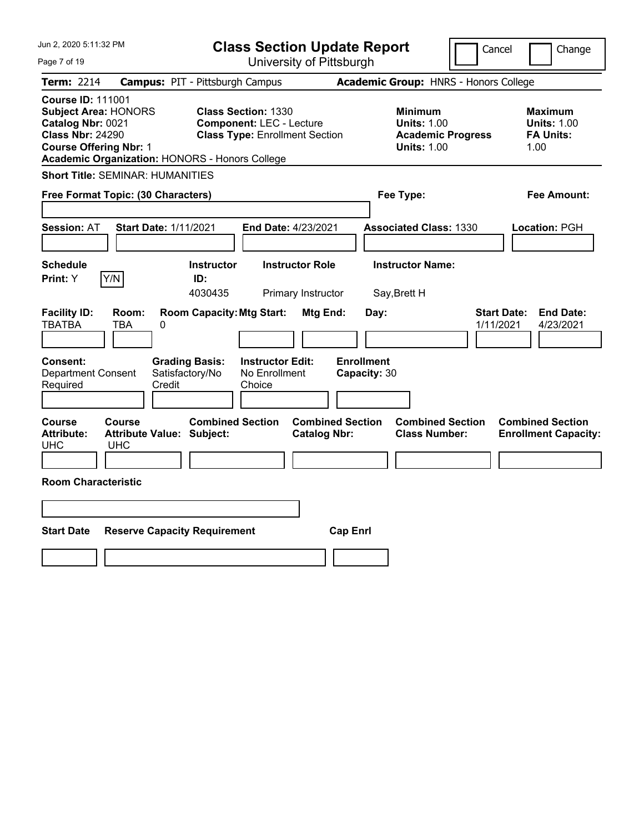| Jun 2, 2020 5:11:32 PM                                                                                                                                                                     | <b>Class Section Update Report</b>                                                                     | Cancel                                                                                 | Change                                                           |
|--------------------------------------------------------------------------------------------------------------------------------------------------------------------------------------------|--------------------------------------------------------------------------------------------------------|----------------------------------------------------------------------------------------|------------------------------------------------------------------|
| Page 7 of 19                                                                                                                                                                               | University of Pittsburgh                                                                               |                                                                                        |                                                                  |
| <b>Term: 2214</b>                                                                                                                                                                          | <b>Campus: PIT - Pittsburgh Campus</b>                                                                 | Academic Group: HNRS - Honors College                                                  |                                                                  |
| <b>Course ID: 111001</b><br><b>Subject Area: HONORS</b><br>Catalog Nbr: 0021<br><b>Class Nbr: 24290</b><br><b>Course Offering Nbr: 1</b><br>Academic Organization: HONORS - Honors College | <b>Class Section: 1330</b><br><b>Component: LEC - Lecture</b><br><b>Class Type: Enrollment Section</b> | <b>Minimum</b><br><b>Units: 1.00</b><br><b>Academic Progress</b><br><b>Units: 1.00</b> | <b>Maximum</b><br><b>Units: 1.00</b><br><b>FA Units:</b><br>1.00 |
| <b>Short Title: SEMINAR: HUMANITIES</b>                                                                                                                                                    |                                                                                                        |                                                                                        |                                                                  |
| Free Format Topic: (30 Characters)                                                                                                                                                         |                                                                                                        | Fee Type:                                                                              | <b>Fee Amount:</b>                                               |
| <b>Session: AT</b><br><b>Start Date: 1/11/2021</b>                                                                                                                                         | End Date: 4/23/2021                                                                                    | <b>Associated Class: 1330</b>                                                          | Location: PGH                                                    |
| <b>Schedule</b><br>Y/N<br>Print: Y                                                                                                                                                         | <b>Instructor Role</b><br><b>Instructor</b><br>ID:                                                     | <b>Instructor Name:</b>                                                                |                                                                  |
|                                                                                                                                                                                            | 4030435<br>Primary Instructor                                                                          | Say, Brett H                                                                           |                                                                  |
| <b>Facility ID:</b><br>Room:<br>TBATBA<br>0<br>TBA<br><b>Consent:</b><br><b>Grading Basis:</b><br>Satisfactory/No<br><b>Department Consent</b><br>Required<br>Credit                       | <b>Room Capacity: Mtg Start:</b><br>Mtg End:<br><b>Instructor Edit:</b><br>No Enrollment<br>Choice     | <b>Start Date:</b><br>Day:<br>1/11/2021<br><b>Enrollment</b><br>Capacity: 30           | <b>End Date:</b><br>4/23/2021                                    |
| Course<br>Course<br><b>Attribute:</b><br><b>Attribute Value: Subject:</b><br><b>UHC</b><br>UHC<br><b>Room Characteristic</b>                                                               | <b>Combined Section</b><br><b>Combined Section</b><br><b>Catalog Nbr:</b>                              | <b>Combined Section</b><br><b>Class Number:</b>                                        | <b>Combined Section</b><br><b>Enrollment Capacity:</b>           |
|                                                                                                                                                                                            |                                                                                                        |                                                                                        |                                                                  |
| <b>Start Date</b><br><b>Reserve Capacity Requirement</b>                                                                                                                                   | <b>Cap Enrl</b>                                                                                        |                                                                                        |                                                                  |
|                                                                                                                                                                                            |                                                                                                        |                                                                                        |                                                                  |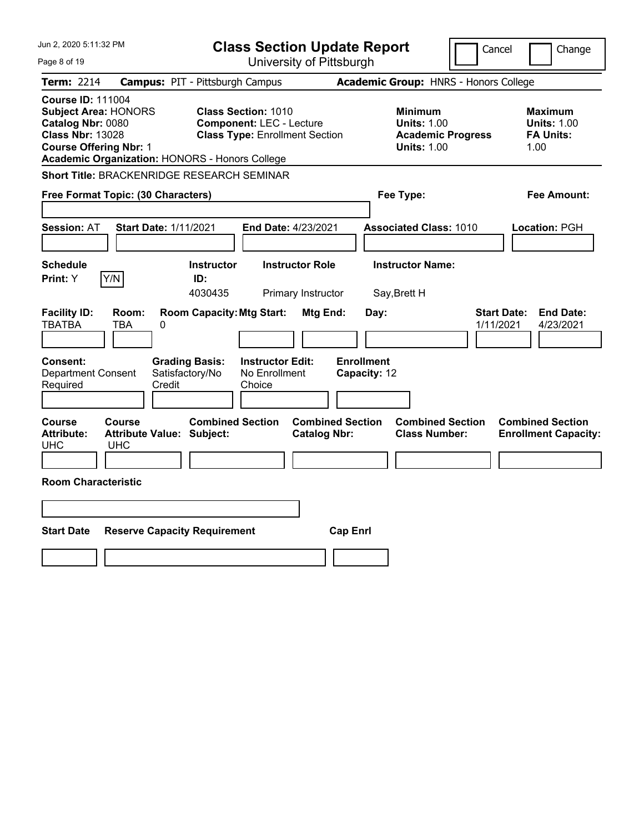| Jun 2, 2020 5:11:32 PM<br>Page 8 of 19                                                                                                                                                     | <b>Class Section Update Report</b><br>University of Pittsburgh                                         | Cancel                                                                                 | Change                                                           |
|--------------------------------------------------------------------------------------------------------------------------------------------------------------------------------------------|--------------------------------------------------------------------------------------------------------|----------------------------------------------------------------------------------------|------------------------------------------------------------------|
| <b>Term: 2214</b>                                                                                                                                                                          | <b>Campus: PIT - Pittsburgh Campus</b>                                                                 | Academic Group: HNRS - Honors College                                                  |                                                                  |
| <b>Course ID: 111004</b><br><b>Subject Area: HONORS</b><br>Catalog Nbr: 0080<br><b>Class Nbr: 13028</b><br><b>Course Offering Nbr: 1</b><br>Academic Organization: HONORS - Honors College | <b>Class Section: 1010</b><br><b>Component: LEC - Lecture</b><br><b>Class Type: Enrollment Section</b> | <b>Minimum</b><br><b>Units: 1.00</b><br><b>Academic Progress</b><br><b>Units: 1.00</b> | <b>Maximum</b><br><b>Units: 1.00</b><br><b>FA Units:</b><br>1.00 |
| Short Title: BRACKENRIDGE RESEARCH SEMINAR                                                                                                                                                 |                                                                                                        |                                                                                        |                                                                  |
| Free Format Topic: (30 Characters)                                                                                                                                                         |                                                                                                        | Fee Type:                                                                              | Fee Amount:                                                      |
| Session: AT<br><b>Start Date: 1/11/2021</b>                                                                                                                                                | End Date: 4/23/2021                                                                                    | <b>Associated Class: 1010</b>                                                          | Location: PGH                                                    |
| <b>Schedule</b><br>Print: Y<br>Y/N                                                                                                                                                         | <b>Instructor</b><br><b>Instructor Role</b><br>ID:<br>4030435<br>Primary Instructor                    | <b>Instructor Name:</b><br>Say, Brett H                                                |                                                                  |
| <b>Facility ID:</b><br>Room:<br><b>TBATBA</b><br>0<br>TBA                                                                                                                                  | <b>Room Capacity: Mtg Start:</b><br>Mtg End:                                                           | <b>Start Date:</b><br>Day:<br>1/11/2021                                                | <b>End Date:</b><br>4/23/2021                                    |
| Consent:<br><b>Department Consent</b><br>Credit<br>Required                                                                                                                                | <b>Instructor Edit:</b><br><b>Grading Basis:</b><br>Satisfactory/No<br>No Enrollment<br>Choice         | <b>Enrollment</b><br>Capacity: 12                                                      |                                                                  |
| Course<br><b>Course</b><br><b>Attribute:</b><br><b>Attribute Value: Subject:</b><br>UHC<br>UHC                                                                                             | <b>Combined Section</b><br><b>Combined Section</b><br><b>Catalog Nbr:</b>                              | <b>Combined Section</b><br><b>Class Number:</b>                                        | <b>Combined Section</b><br><b>Enrollment Capacity:</b>           |
| <b>Room Characteristic</b>                                                                                                                                                                 |                                                                                                        |                                                                                        |                                                                  |
| <b>Start Date</b><br><b>Reserve Capacity Requirement</b>                                                                                                                                   | <b>Cap Enrl</b>                                                                                        |                                                                                        |                                                                  |
|                                                                                                                                                                                            |                                                                                                        |                                                                                        |                                                                  |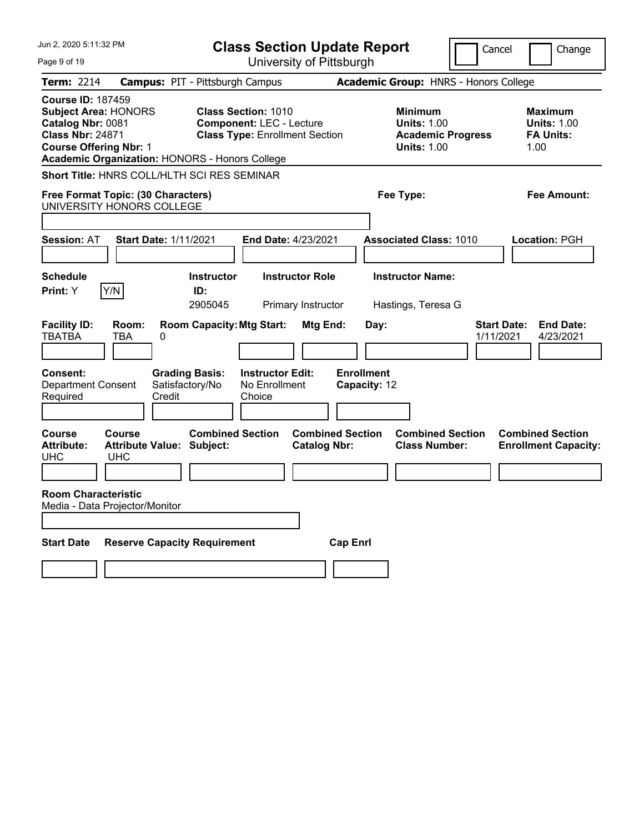| Jun 2, 2020 5:11:32 PM                                                                                                                                                                            | <b>Class Section Update Report</b>                                                                                                  | Cancel                                                                          | Change                                                    |
|---------------------------------------------------------------------------------------------------------------------------------------------------------------------------------------------------|-------------------------------------------------------------------------------------------------------------------------------------|---------------------------------------------------------------------------------|-----------------------------------------------------------|
| Page 9 of 19                                                                                                                                                                                      | University of Pittsburgh                                                                                                            |                                                                                 |                                                           |
| <b>Term: 2214</b>                                                                                                                                                                                 | <b>Campus: PIT - Pittsburgh Campus</b>                                                                                              | Academic Group: HNRS - Honors College                                           |                                                           |
| <b>Course ID: 187459</b><br><b>Subject Area: HONORS</b><br>Catalog Nbr: 0081<br><b>Class Nbr: 24871</b><br><b>Course Offering Nbr: 1</b><br><b>Academic Organization: HONORS - Honors College</b> | <b>Class Section: 1010</b><br><b>Component: LEC - Lecture</b><br><b>Class Type: Enrollment Section</b>                              | Minimum<br><b>Units: 1.00</b><br><b>Academic Progress</b><br><b>Units: 1.00</b> | Maximum<br><b>Units: 1.00</b><br><b>FA Units:</b><br>1.00 |
| <b>Short Title: HNRS COLL/HLTH SCI RES SEMINAR</b>                                                                                                                                                |                                                                                                                                     |                                                                                 |                                                           |
| Free Format Topic: (30 Characters)<br>UNIVERSITY HONORS COLLEGE                                                                                                                                   |                                                                                                                                     | Fee Type:                                                                       | Fee Amount:                                               |
| <b>Start Date: 1/11/2021</b><br><b>Session: AT</b>                                                                                                                                                | End Date: 4/23/2021                                                                                                                 | <b>Associated Class: 1010</b>                                                   | Location: PGH                                             |
| <b>Schedule</b><br>Y/N<br>Print: Y<br><b>Facility ID:</b><br>Room:                                                                                                                                | <b>Instructor</b><br><b>Instructor Role</b><br>ID:<br>2905045<br>Primary Instructor<br><b>Room Capacity: Mtg Start:</b><br>Mtg End: | <b>Instructor Name:</b><br>Hastings, Teresa G<br><b>Start Date:</b><br>Day:     | <b>End Date:</b>                                          |
| <b>TBATBA</b><br><b>TBA</b><br>0                                                                                                                                                                  |                                                                                                                                     | 1/11/2021                                                                       | 4/23/2021                                                 |
| Consent:<br><b>Grading Basis:</b><br>Satisfactory/No<br><b>Department Consent</b><br>Credit<br>Required                                                                                           | <b>Instructor Edit:</b><br>No Enrollment<br>Choice                                                                                  | <b>Enrollment</b><br>Capacity: 12                                               |                                                           |
| <b>Course</b><br>Course<br><b>Attribute Value: Subject:</b><br><b>Attribute:</b><br><b>UHC</b><br><b>UHC</b>                                                                                      | <b>Combined Section</b><br><b>Combined Section</b><br><b>Catalog Nbr:</b>                                                           | <b>Combined Section</b><br><b>Class Number:</b>                                 | <b>Combined Section</b><br><b>Enrollment Capacity:</b>    |
| <b>Room Characteristic</b><br>Media - Data Projector/Monitor                                                                                                                                      |                                                                                                                                     |                                                                                 |                                                           |
| <b>Reserve Capacity Requirement</b><br><b>Start Date</b>                                                                                                                                          | <b>Cap Enrl</b>                                                                                                                     |                                                                                 |                                                           |
|                                                                                                                                                                                                   |                                                                                                                                     |                                                                                 |                                                           |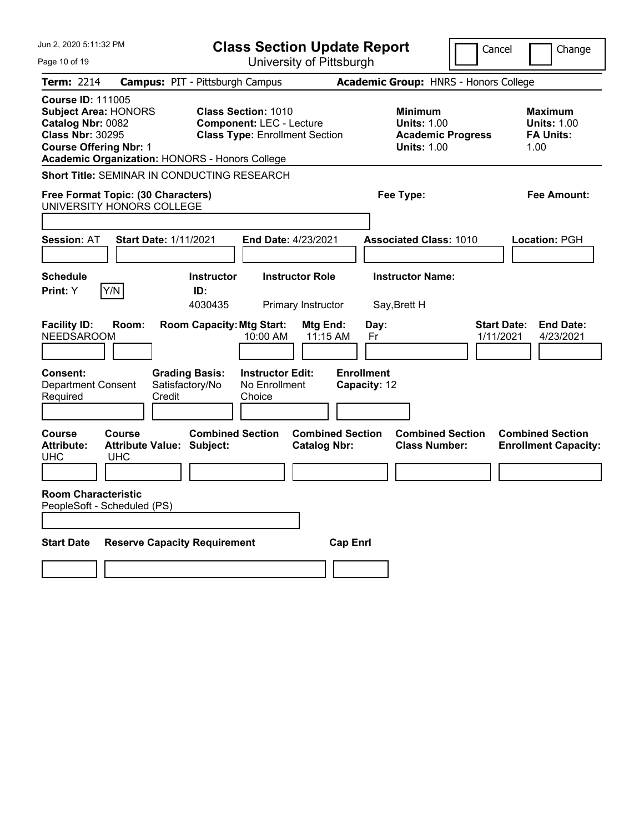|                                                                                                                                                                                                   | <b>Class Section Update Report</b>                                                                     | Cancel                                                                                 | Change                                                    |
|---------------------------------------------------------------------------------------------------------------------------------------------------------------------------------------------------|--------------------------------------------------------------------------------------------------------|----------------------------------------------------------------------------------------|-----------------------------------------------------------|
| Page 10 of 19                                                                                                                                                                                     | University of Pittsburgh                                                                               |                                                                                        |                                                           |
| <b>Term: 2214</b>                                                                                                                                                                                 | <b>Campus: PIT - Pittsburgh Campus</b>                                                                 | Academic Group: HNRS - Honors College                                                  |                                                           |
| <b>Course ID: 111005</b><br><b>Subject Area: HONORS</b><br>Catalog Nbr: 0082<br><b>Class Nbr: 30295</b><br><b>Course Offering Nbr: 1</b><br><b>Academic Organization: HONORS - Honors College</b> | <b>Class Section: 1010</b><br><b>Component: LEC - Lecture</b><br><b>Class Type: Enrollment Section</b> | <b>Minimum</b><br><b>Units: 1.00</b><br><b>Academic Progress</b><br><b>Units: 1.00</b> | Maximum<br><b>Units: 1.00</b><br><b>FA Units:</b><br>1.00 |
| <b>Short Title: SEMINAR IN CONDUCTING RESEARCH</b>                                                                                                                                                |                                                                                                        |                                                                                        |                                                           |
| Free Format Topic: (30 Characters)<br>UNIVERSITY HONORS COLLEGE                                                                                                                                   |                                                                                                        | Fee Type:                                                                              | Fee Amount:                                               |
| <b>Start Date: 1/11/2021</b><br><b>Session: AT</b>                                                                                                                                                | End Date: 4/23/2021                                                                                    | <b>Associated Class: 1010</b>                                                          | <b>Location: PGH</b>                                      |
| Schedule<br>Y/N<br>Print: Y                                                                                                                                                                       | <b>Instructor Role</b><br><b>Instructor</b><br>ID:<br>4030435<br>Primary Instructor                    | <b>Instructor Name:</b><br>Say, Brett H                                                |                                                           |
| <b>Facility ID:</b><br>Room:<br><b>NEEDSAROOM</b>                                                                                                                                                 | <b>Room Capacity: Mtg Start:</b><br>Mtg End:<br>10:00 AM<br>11:15 AM                                   | <b>Start Date:</b><br>Day:<br>1/11/2021<br>Fr                                          | <b>End Date:</b><br>4/23/2021                             |
| Consent:<br>Satisfactory/No<br><b>Department Consent</b><br>Required<br>Credit                                                                                                                    | <b>Grading Basis:</b><br><b>Instructor Edit:</b><br>No Enrollment<br>Choice                            | <b>Enrollment</b><br>Capacity: 12                                                      |                                                           |
| <b>Course</b><br>Course<br><b>Attribute Value: Subject:</b><br><b>Attribute:</b><br><b>UHC</b><br><b>UHC</b>                                                                                      | <b>Combined Section</b><br><b>Combined Section</b><br><b>Catalog Nbr:</b>                              | <b>Combined Section</b><br><b>Class Number:</b>                                        | <b>Combined Section</b><br><b>Enrollment Capacity:</b>    |
| <b>Room Characteristic</b><br>PeopleSoft - Scheduled (PS)                                                                                                                                         |                                                                                                        |                                                                                        |                                                           |
| <b>Reserve Capacity Requirement</b><br><b>Start Date</b>                                                                                                                                          | <b>Cap Enrl</b>                                                                                        |                                                                                        |                                                           |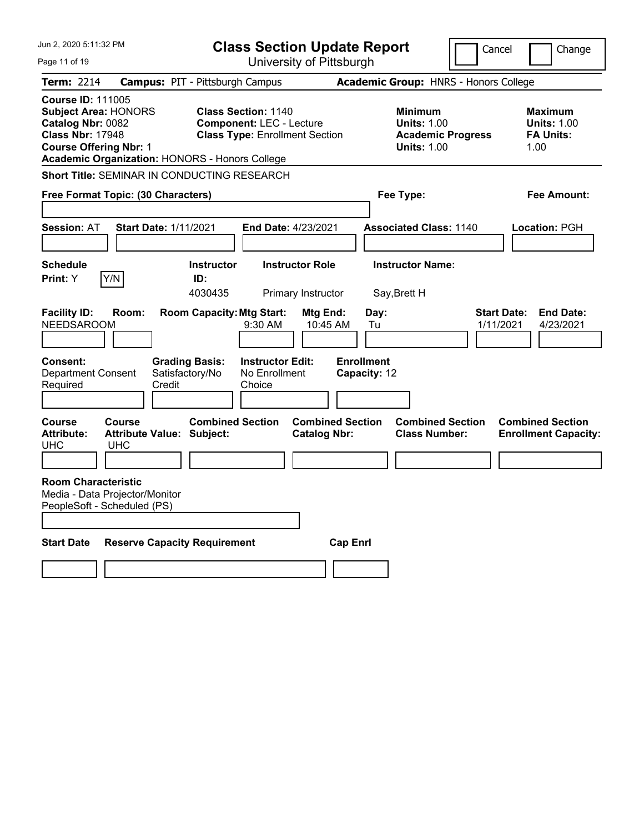| Jun 2, 2020 5:11:32 PM                                                                                                                                                                     | <b>Class Section Update Report</b>                                                                     | Cancel                                                                                 | Change                                                           |
|--------------------------------------------------------------------------------------------------------------------------------------------------------------------------------------------|--------------------------------------------------------------------------------------------------------|----------------------------------------------------------------------------------------|------------------------------------------------------------------|
| Page 11 of 19                                                                                                                                                                              | University of Pittsburgh                                                                               |                                                                                        |                                                                  |
| <b>Term: 2214</b>                                                                                                                                                                          | <b>Campus: PIT - Pittsburgh Campus</b>                                                                 | Academic Group: HNRS - Honors College                                                  |                                                                  |
| <b>Course ID: 111005</b><br><b>Subject Area: HONORS</b><br>Catalog Nbr: 0082<br><b>Class Nbr: 17948</b><br><b>Course Offering Nbr: 1</b><br>Academic Organization: HONORS - Honors College | <b>Class Section: 1140</b><br><b>Component: LEC - Lecture</b><br><b>Class Type: Enrollment Section</b> | <b>Minimum</b><br><b>Units: 1.00</b><br><b>Academic Progress</b><br><b>Units: 1.00</b> | <b>Maximum</b><br><b>Units: 1.00</b><br><b>FA Units:</b><br>1.00 |
| Short Title: SEMINAR IN CONDUCTING RESEARCH                                                                                                                                                |                                                                                                        |                                                                                        |                                                                  |
| Free Format Topic: (30 Characters)                                                                                                                                                         |                                                                                                        | Fee Type:                                                                              | Fee Amount:                                                      |
| <b>Start Date: 1/11/2021</b><br><b>Session: AT</b>                                                                                                                                         | End Date: 4/23/2021                                                                                    | <b>Associated Class: 1140</b>                                                          | Location: PGH                                                    |
| <b>Schedule</b><br>Print: Y<br>Y/N                                                                                                                                                         | <b>Instructor Role</b><br><b>Instructor</b><br>ID:<br>4030435<br>Primary Instructor                    | <b>Instructor Name:</b><br>Say, Brett H                                                |                                                                  |
| <b>Facility ID:</b><br>Room:<br><b>NEEDSAROOM</b>                                                                                                                                          | <b>Room Capacity: Mtg Start:</b><br>Mtg End:<br>10:45 AM<br>$9:30$ AM                                  | Day:<br><b>Start Date:</b><br>1/11/2021<br>Tu                                          | <b>End Date:</b><br>4/23/2021                                    |
| Consent:<br><b>Department Consent</b><br>Satisfactory/No<br>Required<br>Credit                                                                                                             | <b>Grading Basis:</b><br><b>Instructor Edit:</b><br>No Enrollment<br>Choice                            | <b>Enrollment</b><br>Capacity: 12                                                      |                                                                  |
| <b>Course</b><br><b>Course</b><br><b>Attribute:</b><br><b>Attribute Value: Subject:</b><br><b>UHC</b><br><b>UHC</b>                                                                        | <b>Combined Section</b><br><b>Combined Section</b><br><b>Catalog Nbr:</b>                              | <b>Combined Section</b><br><b>Class Number:</b>                                        | <b>Combined Section</b><br><b>Enrollment Capacity:</b>           |
| <b>Room Characteristic</b><br>Media - Data Projector/Monitor<br>PeopleSoft - Scheduled (PS)                                                                                                |                                                                                                        |                                                                                        |                                                                  |
| <b>Start Date</b><br><b>Reserve Capacity Requirement</b>                                                                                                                                   | <b>Cap Enrl</b>                                                                                        |                                                                                        |                                                                  |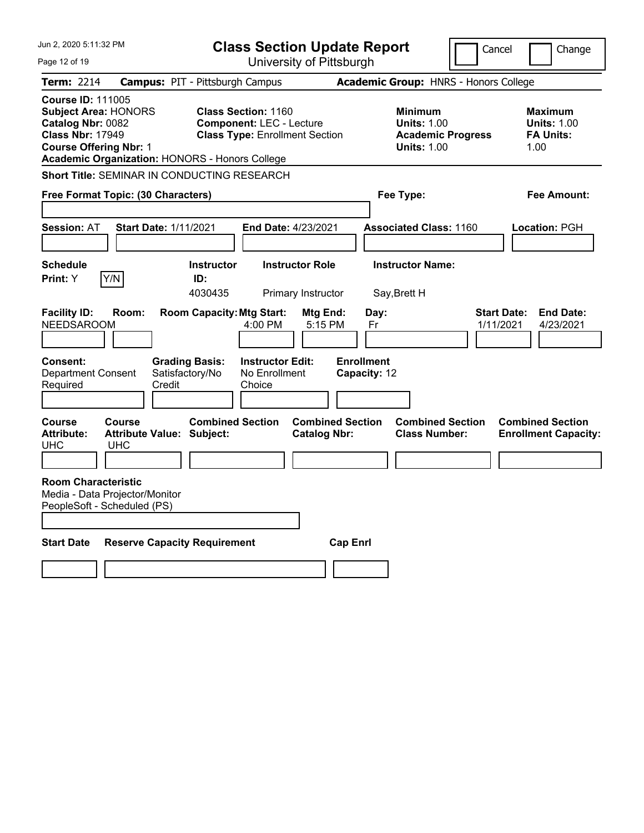| Jun 2, 2020 5:11:32 PM                                                                                                                                                                     |                                                             |                         | <b>Class Section Update Report</b>                                                                     |                                                |                                                 |                                                                                        | Cancel                          | Change                                                           |
|--------------------------------------------------------------------------------------------------------------------------------------------------------------------------------------------|-------------------------------------------------------------|-------------------------|--------------------------------------------------------------------------------------------------------|------------------------------------------------|-------------------------------------------------|----------------------------------------------------------------------------------------|---------------------------------|------------------------------------------------------------------|
| Page 12 of 19                                                                                                                                                                              |                                                             |                         |                                                                                                        | University of Pittsburgh                       |                                                 |                                                                                        |                                 |                                                                  |
| <b>Term: 2214</b>                                                                                                                                                                          | <b>Campus: PIT - Pittsburgh Campus</b>                      |                         |                                                                                                        |                                                |                                                 | Academic Group: HNRS - Honors College                                                  |                                 |                                                                  |
| <b>Course ID: 111005</b><br><b>Subject Area: HONORS</b><br>Catalog Nbr: 0082<br><b>Class Nbr: 17949</b><br><b>Course Offering Nbr: 1</b><br>Academic Organization: HONORS - Honors College |                                                             |                         | <b>Class Section: 1160</b><br><b>Component: LEC - Lecture</b><br><b>Class Type: Enrollment Section</b> |                                                |                                                 | <b>Minimum</b><br><b>Units: 1.00</b><br><b>Academic Progress</b><br><b>Units: 1.00</b> |                                 | <b>Maximum</b><br><b>Units: 1.00</b><br><b>FA Units:</b><br>1.00 |
| Short Title: SEMINAR IN CONDUCTING RESEARCH                                                                                                                                                |                                                             |                         |                                                                                                        |                                                |                                                 |                                                                                        |                                 |                                                                  |
| Free Format Topic: (30 Characters)                                                                                                                                                         |                                                             |                         |                                                                                                        | Fee Type:                                      |                                                 |                                                                                        | Fee Amount:                     |                                                                  |
| <b>Session: AT</b>                                                                                                                                                                         | <b>Start Date: 1/11/2021</b>                                |                         | <b>End Date: 4/23/2021</b>                                                                             |                                                |                                                 | <b>Associated Class: 1160</b>                                                          |                                 | Location: PGH                                                    |
| <b>Schedule</b>                                                                                                                                                                            |                                                             | <b>Instructor</b>       |                                                                                                        | <b>Instructor Role</b>                         |                                                 | <b>Instructor Name:</b>                                                                |                                 |                                                                  |
| Y/N<br>Print: Y                                                                                                                                                                            |                                                             | ID:<br>4030435          |                                                                                                        | Primary Instructor                             | Say, Brett H                                    |                                                                                        |                                 |                                                                  |
| <b>Facility ID:</b><br><b>NEEDSAROOM</b><br>Consent:<br><b>Department Consent</b><br>Required                                                                                              | Room:<br><b>Grading Basis:</b><br>Satisfactory/No<br>Credit |                         | <b>Room Capacity: Mtg Start:</b><br>4:00 PM<br><b>Instructor Edit:</b><br>No Enrollment<br>Choice      | Mtg End:<br>5:15 PM                            | Day:<br>Fr<br><b>Enrollment</b><br>Capacity: 12 |                                                                                        | <b>Start Date:</b><br>1/11/2021 | <b>End Date:</b><br>4/23/2021                                    |
| Course<br><b>Attribute:</b><br>UHC                                                                                                                                                         | Course<br>Attribute Value: Subject:<br><b>UHC</b>           | <b>Combined Section</b> |                                                                                                        | <b>Combined Section</b><br><b>Catalog Nbr:</b> |                                                 | <b>Combined Section</b><br><b>Class Number:</b>                                        |                                 | <b>Combined Section</b><br><b>Enrollment Capacity:</b>           |
| <b>Room Characteristic</b><br>Media - Data Projector/Monitor<br>PeopleSoft - Scheduled (PS)                                                                                                |                                                             |                         |                                                                                                        |                                                |                                                 |                                                                                        |                                 |                                                                  |
| <b>Start Date</b>                                                                                                                                                                          | <b>Reserve Capacity Requirement</b>                         |                         |                                                                                                        | <b>Cap Enrl</b>                                |                                                 |                                                                                        |                                 |                                                                  |
|                                                                                                                                                                                            |                                                             |                         |                                                                                                        |                                                |                                                 |                                                                                        |                                 |                                                                  |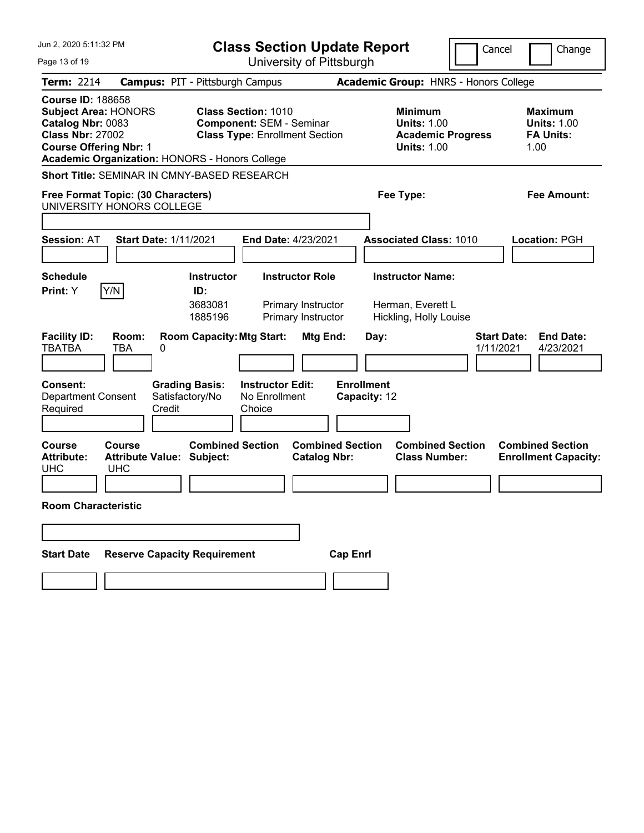| Jun 2, 2020 5:11:32 PM<br>Page 13 of 19                                                                                                                                                                                | <b>Class Section Update Report</b><br>University of Pittsburgh                                                                                                       | Cancel                                                                                                                                 | Change                                                           |
|------------------------------------------------------------------------------------------------------------------------------------------------------------------------------------------------------------------------|----------------------------------------------------------------------------------------------------------------------------------------------------------------------|----------------------------------------------------------------------------------------------------------------------------------------|------------------------------------------------------------------|
|                                                                                                                                                                                                                        |                                                                                                                                                                      |                                                                                                                                        |                                                                  |
| <b>Term: 2214</b><br><b>Course ID: 188658</b><br><b>Subject Area: HONORS</b><br>Catalog Nbr: 0083<br><b>Class Nbr: 27002</b><br><b>Course Offering Nbr: 1</b><br><b>Academic Organization: HONORS - Honors College</b> | <b>Campus: PIT - Pittsburgh Campus</b><br><b>Class Section: 1010</b><br><b>Component: SEM - Seminar</b><br><b>Class Type: Enrollment Section</b>                     | <b>Academic Group: HNRS - Honors College</b><br><b>Minimum</b><br><b>Units: 1.00</b><br><b>Academic Progress</b><br><b>Units: 1.00</b> | <b>Maximum</b><br><b>Units: 1.00</b><br><b>FA Units:</b><br>1.00 |
| Short Title: SEMINAR IN CMNY-BASED RESEARCH<br>Free Format Topic: (30 Characters)<br>UNIVERSITY HONORS COLLEGE                                                                                                         |                                                                                                                                                                      | Fee Type:                                                                                                                              | Fee Amount:                                                      |
| <b>Session: AT</b><br><b>Start Date: 1/11/2021</b>                                                                                                                                                                     | End Date: 4/23/2021                                                                                                                                                  | <b>Associated Class: 1010</b>                                                                                                          | Location: PGH                                                    |
| <b>Schedule</b><br>Y/N<br>Print: Y<br><b>Facility ID:</b><br>Room:<br><b>TBATBA</b><br>TBA<br>0                                                                                                                        | <b>Instructor Role</b><br><b>Instructor</b><br>ID:<br>3683081<br>Primary Instructor<br>1885196<br>Primary Instructor<br><b>Room Capacity: Mtg Start:</b><br>Mtg End: | <b>Instructor Name:</b><br>Herman, Everett L<br>Hickling, Holly Louise<br><b>Start Date:</b><br>Day:<br>1/11/2021                      | <b>End Date:</b><br>4/23/2021                                    |
| Consent:<br><b>Grading Basis:</b><br><b>Department Consent</b><br>Satisfactory/No<br>Credit<br>Required                                                                                                                | <b>Instructor Edit:</b><br>No Enrollment<br>Choice                                                                                                                   | <b>Enrollment</b><br>Capacity: 12                                                                                                      |                                                                  |
| Course<br>Course<br><b>Attribute Value: Subject:</b><br><b>Attribute:</b><br><b>UHC</b><br><b>UHC</b><br><b>Room Characteristic</b>                                                                                    | <b>Combined Section</b><br><b>Combined Section</b><br><b>Catalog Nbr:</b>                                                                                            | <b>Combined Section</b><br><b>Class Number:</b>                                                                                        | <b>Combined Section</b><br><b>Enrollment Capacity:</b>           |
|                                                                                                                                                                                                                        |                                                                                                                                                                      |                                                                                                                                        |                                                                  |
| <b>Reserve Capacity Requirement</b><br><b>Start Date</b>                                                                                                                                                               | <b>Cap Enrl</b>                                                                                                                                                      |                                                                                                                                        |                                                                  |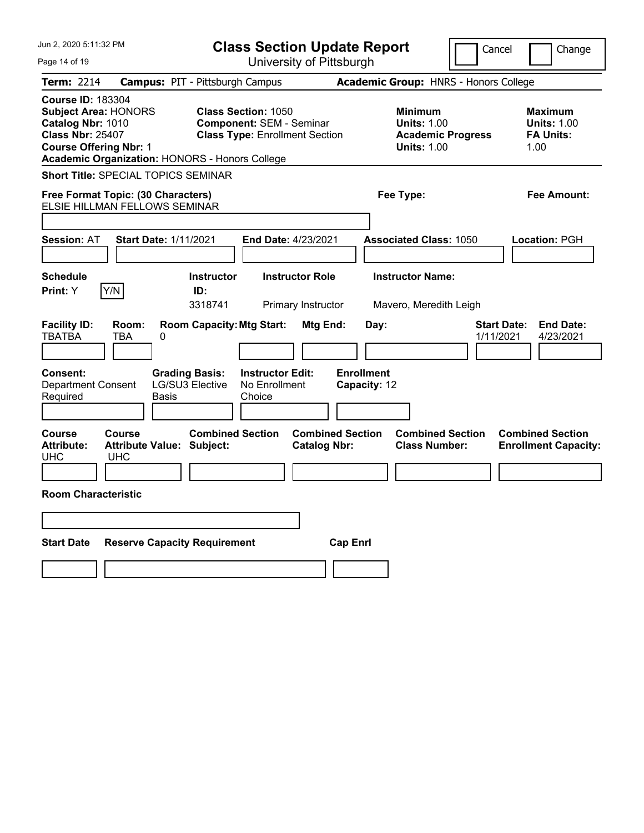| Jun 2, 2020 5:11:32 PM<br>Page 14 of 19                                                                                                                                                    | <b>Class Section Update Report</b><br>University of Pittsburgh                                         |                                                                                        | Cancel<br>Change                                                 |
|--------------------------------------------------------------------------------------------------------------------------------------------------------------------------------------------|--------------------------------------------------------------------------------------------------------|----------------------------------------------------------------------------------------|------------------------------------------------------------------|
| Term: 2214                                                                                                                                                                                 | <b>Campus: PIT - Pittsburgh Campus</b>                                                                 | <b>Academic Group: HNRS - Honors College</b>                                           |                                                                  |
| <b>Course ID: 183304</b><br><b>Subject Area: HONORS</b><br>Catalog Nbr: 1010<br><b>Class Nbr: 25407</b><br><b>Course Offering Nbr: 1</b><br>Academic Organization: HONORS - Honors College | <b>Class Section: 1050</b><br><b>Component: SEM - Seminar</b><br><b>Class Type: Enrollment Section</b> | <b>Minimum</b><br><b>Units: 1.00</b><br><b>Academic Progress</b><br><b>Units: 1.00</b> | <b>Maximum</b><br><b>Units: 1.00</b><br><b>FA Units:</b><br>1.00 |
| <b>Short Title: SPECIAL TOPICS SEMINAR</b>                                                                                                                                                 |                                                                                                        |                                                                                        |                                                                  |
| Free Format Topic: (30 Characters)<br>ELSIE HILLMAN FELLOWS SEMINAR                                                                                                                        |                                                                                                        | Fee Type:                                                                              | Fee Amount:                                                      |
|                                                                                                                                                                                            |                                                                                                        |                                                                                        |                                                                  |
| <b>Session: AT</b><br><b>Start Date: 1/11/2021</b>                                                                                                                                         | <b>End Date: 4/23/2021</b>                                                                             | <b>Associated Class: 1050</b>                                                          | Location: PGH                                                    |
| <b>Schedule</b><br>Print: Y<br>Y/N                                                                                                                                                         | <b>Instructor Role</b><br><b>Instructor</b><br>ID:<br>3318741<br>Primary Instructor                    | <b>Instructor Name:</b><br>Mavero, Meredith Leigh                                      |                                                                  |
| <b>Facility ID:</b><br>Room:<br><b>TBATBA</b><br><b>TBA</b><br>0                                                                                                                           | <b>Room Capacity: Mtg Start:</b><br>Mtg End:                                                           | Day:                                                                                   | <b>End Date:</b><br><b>Start Date:</b><br>1/11/2021<br>4/23/2021 |
| Consent:<br><b>Grading Basis:</b><br>Department Consent<br><b>LG/SU3 Elective</b><br><b>Basis</b><br>Required                                                                              | <b>Instructor Edit:</b><br>No Enrollment<br>Choice                                                     | <b>Enrollment</b><br>Capacity: 12                                                      |                                                                  |
| Course<br>Course<br><b>Attribute Value: Subject:</b><br><b>Attribute:</b><br><b>UHC</b><br><b>UHC</b>                                                                                      | <b>Combined Section</b><br><b>Combined Section</b><br><b>Catalog Nbr:</b>                              | <b>Combined Section</b><br><b>Class Number:</b>                                        | <b>Combined Section</b><br><b>Enrollment Capacity:</b>           |
| <b>Room Characteristic</b>                                                                                                                                                                 |                                                                                                        |                                                                                        |                                                                  |
|                                                                                                                                                                                            |                                                                                                        |                                                                                        |                                                                  |
| <b>Reserve Capacity Requirement</b><br><b>Start Date</b>                                                                                                                                   | <b>Cap Enrl</b>                                                                                        |                                                                                        |                                                                  |
|                                                                                                                                                                                            |                                                                                                        |                                                                                        |                                                                  |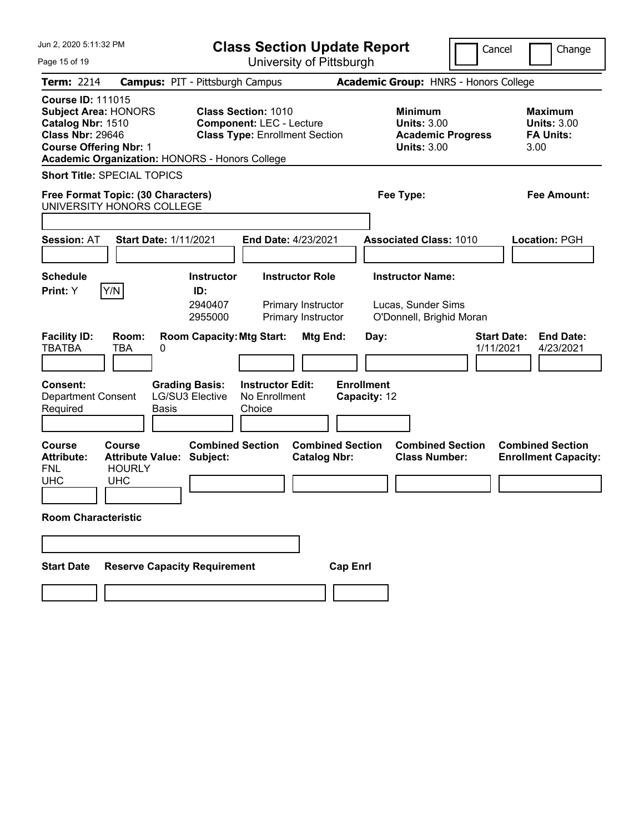| Jun 2, 2020 5:11:32 PM<br>Page 15 of 19                                                                                                                                                                                | <b>Class Section Update Report</b>                                                                                                                                   |                                                                                                                                        | Cancel<br>Change                                                 |
|------------------------------------------------------------------------------------------------------------------------------------------------------------------------------------------------------------------------|----------------------------------------------------------------------------------------------------------------------------------------------------------------------|----------------------------------------------------------------------------------------------------------------------------------------|------------------------------------------------------------------|
|                                                                                                                                                                                                                        | University of Pittsburgh                                                                                                                                             |                                                                                                                                        |                                                                  |
| <b>Term: 2214</b><br><b>Course ID: 111015</b><br><b>Subject Area: HONORS</b><br>Catalog Nbr: 1510<br><b>Class Nbr: 29646</b><br><b>Course Offering Nbr: 1</b><br><b>Academic Organization: HONORS - Honors College</b> | <b>Campus: PIT - Pittsburgh Campus</b><br><b>Class Section: 1010</b><br><b>Component: LEC - Lecture</b><br><b>Class Type: Enrollment Section</b>                     | <b>Academic Group: HNRS - Honors College</b><br><b>Minimum</b><br><b>Units: 3.00</b><br><b>Academic Progress</b><br><b>Units: 3.00</b> | <b>Maximum</b><br><b>Units: 3.00</b><br><b>FA Units:</b><br>3.00 |
| <b>Short Title: SPECIAL TOPICS</b><br>Free Format Topic: (30 Characters)<br>UNIVERSITY HONORS COLLEGE                                                                                                                  |                                                                                                                                                                      | Fee Type:                                                                                                                              | Fee Amount:                                                      |
| <b>Session: AT</b><br><b>Start Date: 1/11/2021</b>                                                                                                                                                                     | <b>End Date: 4/23/2021</b>                                                                                                                                           | <b>Associated Class: 1010</b>                                                                                                          | <b>Location: PGH</b>                                             |
| <b>Schedule</b><br>Y/N<br>Print: Y<br><b>Facility ID:</b><br>Room:<br><b>TBATBA</b><br><b>TBA</b><br>0                                                                                                                 | <b>Instructor Role</b><br><b>Instructor</b><br>ID:<br>2940407<br>Primary Instructor<br>2955000<br>Primary Instructor<br><b>Room Capacity: Mtg Start:</b><br>Mtg End: | <b>Instructor Name:</b><br>Lucas, Sunder Sims<br>O'Donnell, Brighid Moran<br>Day:                                                      | <b>Start Date:</b><br><b>End Date:</b><br>1/11/2021<br>4/23/2021 |
| <b>Grading Basis:</b><br>Consent:<br><b>LG/SU3 Elective</b><br><b>Department Consent</b><br>Required<br>Basis                                                                                                          | <b>Instructor Edit:</b><br>No Enrollment<br>Choice                                                                                                                   | <b>Enrollment</b><br>Capacity: 12                                                                                                      |                                                                  |
| <b>Course</b><br>Course<br><b>Attribute Value: Subject:</b><br><b>Attribute:</b><br><b>FNL</b><br><b>HOURLY</b><br><b>UHC</b><br><b>UHC</b>                                                                            | <b>Combined Section</b><br><b>Combined Section</b><br><b>Catalog Nbr:</b>                                                                                            | <b>Combined Section</b><br><b>Class Number:</b>                                                                                        | <b>Combined Section</b><br><b>Enrollment Capacity:</b>           |
| <b>Room Characteristic</b>                                                                                                                                                                                             |                                                                                                                                                                      |                                                                                                                                        |                                                                  |
| <b>Reserve Capacity Requirement</b><br><b>Start Date</b>                                                                                                                                                               | <b>Cap Enrl</b>                                                                                                                                                      |                                                                                                                                        |                                                                  |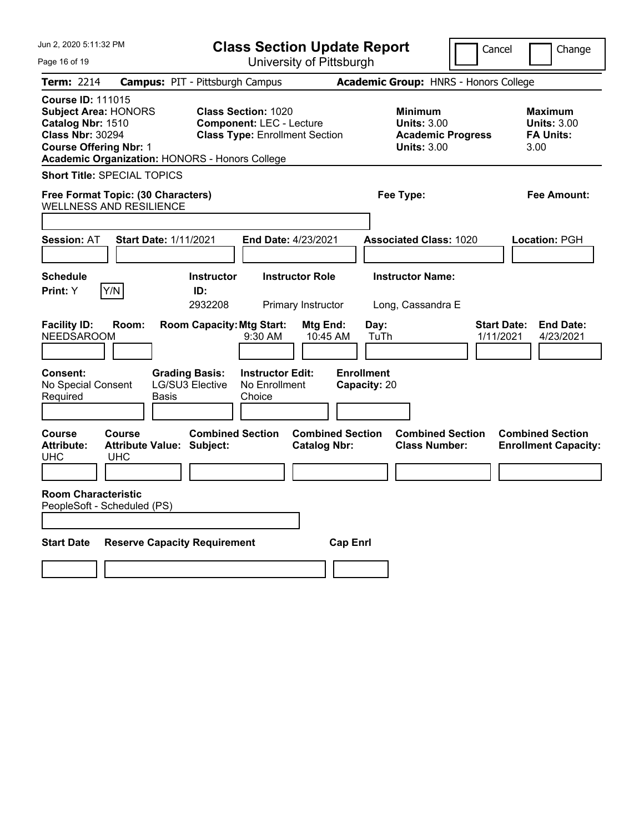| Jun 2, 2020 5:11:32 PM                                                                                                                                                                     | <b>Class Section Update Report</b>                                                                     |                                                                                        | Cancel<br>Change                                                 |
|--------------------------------------------------------------------------------------------------------------------------------------------------------------------------------------------|--------------------------------------------------------------------------------------------------------|----------------------------------------------------------------------------------------|------------------------------------------------------------------|
| Page 16 of 19                                                                                                                                                                              | University of Pittsburgh                                                                               |                                                                                        |                                                                  |
| Term: 2214                                                                                                                                                                                 | <b>Campus: PIT - Pittsburgh Campus</b>                                                                 | Academic Group: HNRS - Honors College                                                  |                                                                  |
| <b>Course ID: 111015</b><br><b>Subject Area: HONORS</b><br>Catalog Nbr: 1510<br><b>Class Nbr: 30294</b><br><b>Course Offering Nbr: 1</b><br>Academic Organization: HONORS - Honors College | <b>Class Section: 1020</b><br><b>Component: LEC - Lecture</b><br><b>Class Type: Enrollment Section</b> | <b>Minimum</b><br><b>Units: 3.00</b><br><b>Academic Progress</b><br><b>Units: 3.00</b> | <b>Maximum</b><br><b>Units: 3.00</b><br><b>FA Units:</b><br>3.00 |
| <b>Short Title: SPECIAL TOPICS</b>                                                                                                                                                         |                                                                                                        |                                                                                        |                                                                  |
| Free Format Topic: (30 Characters)<br><b>WELLNESS AND RESILIENCE</b>                                                                                                                       |                                                                                                        | Fee Type:                                                                              | Fee Amount:                                                      |
| <b>Session: AT</b><br><b>Start Date: 1/11/2021</b>                                                                                                                                         | <b>End Date: 4/23/2021</b>                                                                             | <b>Associated Class: 1020</b>                                                          | <b>Location: PGH</b>                                             |
| <b>Schedule</b><br>Y/N<br><b>Print:</b> Y                                                                                                                                                  | <b>Instructor</b><br><b>Instructor Role</b><br>ID:<br>2932208<br>Primary Instructor                    | <b>Instructor Name:</b><br>Long, Cassandra E                                           |                                                                  |
| <b>Facility ID:</b><br>Room:<br><b>NEEDSAROOM</b>                                                                                                                                          | <b>Room Capacity: Mtg Start:</b><br>Mtg End:<br>9:30 AM<br>10:45 AM                                    | Day:<br>TuTh                                                                           | <b>Start Date:</b><br><b>End Date:</b><br>4/23/2021<br>1/11/2021 |
| Consent:<br>No Special Consent<br>Required<br><b>Basis</b>                                                                                                                                 | <b>Grading Basis:</b><br><b>Instructor Edit:</b><br><b>LG/SU3 Elective</b><br>No Enrollment<br>Choice  | <b>Enrollment</b><br>Capacity: 20                                                      |                                                                  |
| Course<br>Course<br><b>Attribute:</b><br><b>Attribute Value: Subject:</b><br><b>UHC</b><br><b>UHC</b>                                                                                      | <b>Combined Section</b><br><b>Combined Section</b><br><b>Catalog Nbr:</b>                              | <b>Combined Section</b><br><b>Class Number:</b>                                        | <b>Combined Section</b><br><b>Enrollment Capacity:</b>           |
| <b>Room Characteristic</b><br>PeopleSoft - Scheduled (PS)                                                                                                                                  |                                                                                                        |                                                                                        |                                                                  |
| <b>Reserve Capacity Requirement</b><br><b>Start Date</b>                                                                                                                                   |                                                                                                        | <b>Cap Enrl</b>                                                                        |                                                                  |
|                                                                                                                                                                                            |                                                                                                        |                                                                                        |                                                                  |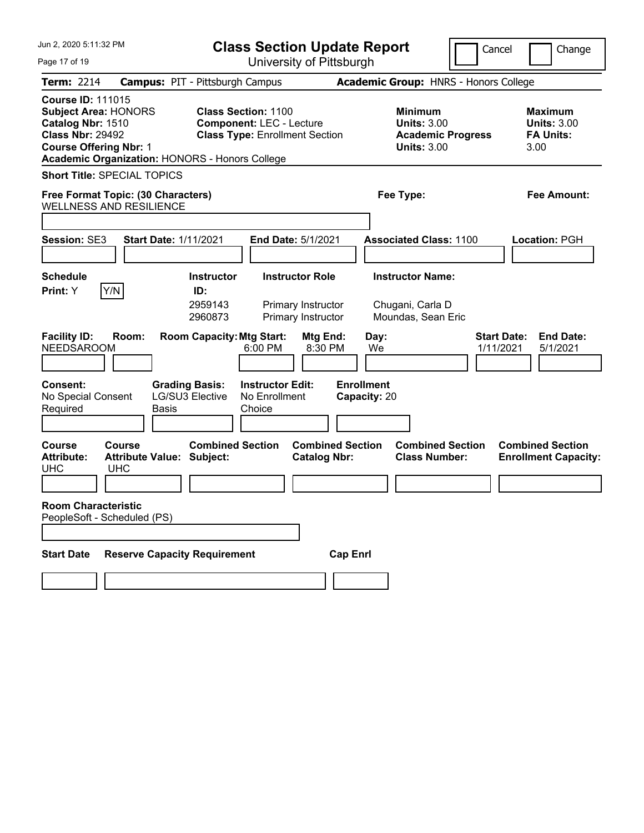| Jun 2, 2020 5:11:32 PM<br>Page 17 of 19                                                                                                                                                           | <b>Class Section Update Report</b><br>University of Pittsburgh                                         | Cancel                                                                                 | Change                                                           |
|---------------------------------------------------------------------------------------------------------------------------------------------------------------------------------------------------|--------------------------------------------------------------------------------------------------------|----------------------------------------------------------------------------------------|------------------------------------------------------------------|
|                                                                                                                                                                                                   |                                                                                                        |                                                                                        |                                                                  |
| <b>Term: 2214</b>                                                                                                                                                                                 | <b>Campus: PIT - Pittsburgh Campus</b>                                                                 | Academic Group: HNRS - Honors College                                                  |                                                                  |
| <b>Course ID: 111015</b><br><b>Subject Area: HONORS</b><br>Catalog Nbr: 1510<br><b>Class Nbr: 29492</b><br><b>Course Offering Nbr: 1</b><br><b>Academic Organization: HONORS - Honors College</b> | <b>Class Section: 1100</b><br><b>Component: LEC - Lecture</b><br><b>Class Type: Enrollment Section</b> | <b>Minimum</b><br><b>Units: 3.00</b><br><b>Academic Progress</b><br><b>Units: 3.00</b> | <b>Maximum</b><br><b>Units: 3.00</b><br><b>FA Units:</b><br>3.00 |
| <b>Short Title: SPECIAL TOPICS</b>                                                                                                                                                                |                                                                                                        |                                                                                        |                                                                  |
| Free Format Topic: (30 Characters)<br><b>WELLNESS AND RESILIENCE</b>                                                                                                                              |                                                                                                        | Fee Type:                                                                              | <b>Fee Amount:</b>                                               |
| Session: SE3<br><b>Start Date: 1/11/2021</b>                                                                                                                                                      | End Date: 5/1/2021                                                                                     | <b>Associated Class: 1100</b>                                                          | Location: PGH                                                    |
| <b>Schedule</b>                                                                                                                                                                                   | <b>Instructor Role</b><br><b>Instructor</b>                                                            | <b>Instructor Name:</b>                                                                |                                                                  |
| Y/N<br>Print: Y                                                                                                                                                                                   | ID:                                                                                                    |                                                                                        |                                                                  |
|                                                                                                                                                                                                   | 2959143<br>Primary Instructor<br>2960873<br>Primary Instructor                                         | Chugani, Carla D<br>Moundas, Sean Eric                                                 |                                                                  |
| <b>Facility ID:</b><br>Room:<br><b>NEEDSAROOM</b>                                                                                                                                                 | <b>Room Capacity: Mtg Start:</b><br>Mtg End:<br>8:30 PM<br>6:00 PM                                     | <b>Start Date:</b><br>Day:<br>We<br>1/11/2021                                          | <b>End Date:</b><br>5/1/2021                                     |
| Consent:<br><b>Grading Basis:</b><br>No Special Consent<br>Required<br><b>Basis</b>                                                                                                               | <b>Instructor Edit:</b><br><b>LG/SU3 Elective</b><br>No Enrollment<br>Choice                           | <b>Enrollment</b><br>Capacity: 20                                                      |                                                                  |
| <b>Course</b><br>Course<br><b>Attribute:</b><br><b>Attribute Value: Subject:</b><br><b>UHC</b><br><b>UHC</b>                                                                                      | <b>Combined Section</b><br><b>Combined Section</b><br><b>Catalog Nbr:</b>                              | <b>Combined Section</b><br><b>Class Number:</b>                                        | <b>Combined Section</b><br><b>Enrollment Capacity:</b>           |
| <b>Room Characteristic</b><br>PeopleSoft - Scheduled (PS)                                                                                                                                         |                                                                                                        |                                                                                        |                                                                  |
| <b>Reserve Capacity Requirement</b><br><b>Start Date</b>                                                                                                                                          | <b>Cap Enrl</b>                                                                                        |                                                                                        |                                                                  |
|                                                                                                                                                                                                   |                                                                                                        |                                                                                        |                                                                  |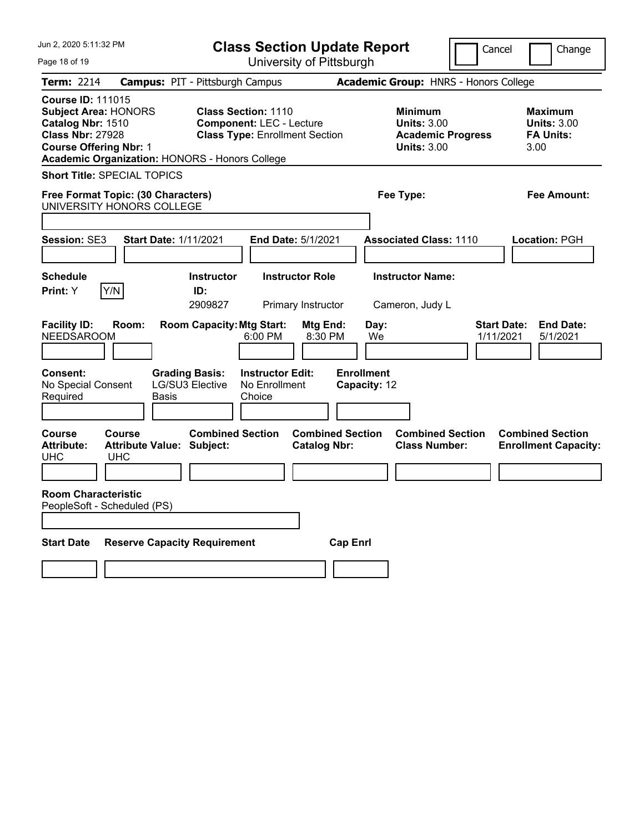| Jun 2. 2020 5:11:32 PM                                                                                                                                                                     | <b>Class Section Update Report</b><br>Cancel                                                           |                                                                                                   | Change                                                           |
|--------------------------------------------------------------------------------------------------------------------------------------------------------------------------------------------|--------------------------------------------------------------------------------------------------------|---------------------------------------------------------------------------------------------------|------------------------------------------------------------------|
| Page 18 of 19                                                                                                                                                                              | University of Pittsburgh                                                                               |                                                                                                   |                                                                  |
| <b>Term: 2214</b>                                                                                                                                                                          | <b>Campus: PIT - Pittsburgh Campus</b>                                                                 | Academic Group: HNRS - Honors College                                                             |                                                                  |
| <b>Course ID: 111015</b><br><b>Subject Area: HONORS</b><br>Catalog Nbr: 1510<br><b>Class Nbr: 27928</b><br><b>Course Offering Nbr: 1</b><br>Academic Organization: HONORS - Honors College | <b>Class Section: 1110</b><br><b>Component: LEC - Lecture</b><br><b>Class Type: Enrollment Section</b> | <b>Minimum</b><br><b>Units: 3.00</b><br><b>Academic Progress</b><br><b>Units: 3.00</b>            | <b>Maximum</b><br><b>Units: 3.00</b><br><b>FA Units:</b><br>3.00 |
| <b>Short Title: SPECIAL TOPICS</b>                                                                                                                                                         |                                                                                                        |                                                                                                   |                                                                  |
| Free Format Topic: (30 Characters)<br>UNIVERSITY HONORS COLLEGE                                                                                                                            |                                                                                                        | Fee Type:                                                                                         | Fee Amount:                                                      |
| <b>Session: SE3</b><br><b>Start Date: 1/11/2021</b>                                                                                                                                        | <b>End Date: 5/1/2021</b>                                                                              | <b>Associated Class: 1110</b>                                                                     | <b>Location: PGH</b>                                             |
| <b>Schedule</b><br>Y/N<br>Print: Y                                                                                                                                                         | <b>Instructor Role</b><br><b>Instructor</b><br>ID:<br>2909827<br>Primary Instructor                    | <b>Instructor Name:</b><br>Cameron, Judy L                                                        |                                                                  |
| <b>Facility ID:</b><br>Room:<br><b>NEEDSAROOM</b>                                                                                                                                          | <b>Room Capacity: Mtg Start:</b><br>6:00 PM                                                            | Mtg End:<br>Day:<br>8:30 PM<br>We                                                                 | <b>End Date:</b><br><b>Start Date:</b><br>1/11/2021<br>5/1/2021  |
| Consent:<br>No Special Consent<br>Required<br><b>Basis</b>                                                                                                                                 | <b>Instructor Edit:</b><br><b>Grading Basis:</b><br><b>LG/SU3 Elective</b><br>No Enrollment<br>Choice  | <b>Enrollment</b><br>Capacity: 12                                                                 |                                                                  |
| Course<br>Course<br><b>Attribute:</b><br><b>Attribute Value: Subject:</b><br><b>UHC</b><br><b>UHC</b>                                                                                      | <b>Combined Section</b>                                                                                | <b>Combined Section</b><br><b>Combined Section</b><br><b>Class Number:</b><br><b>Catalog Nbr:</b> | <b>Combined Section</b><br><b>Enrollment Capacity:</b>           |
| <b>Room Characteristic</b><br>PeopleSoft - Scheduled (PS)                                                                                                                                  |                                                                                                        |                                                                                                   |                                                                  |
| <b>Reserve Capacity Requirement</b><br><b>Start Date</b>                                                                                                                                   |                                                                                                        | <b>Cap Enrl</b>                                                                                   |                                                                  |
|                                                                                                                                                                                            |                                                                                                        |                                                                                                   |                                                                  |